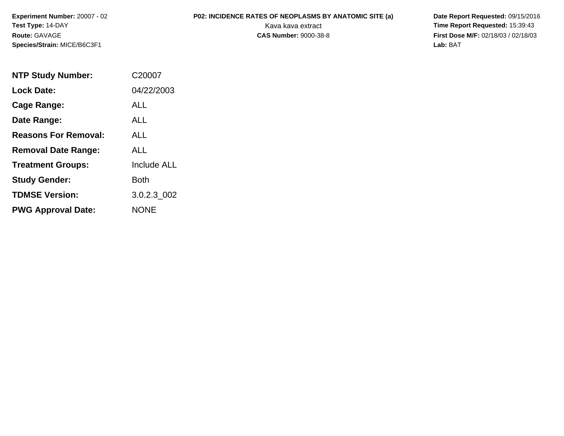**Experiment Number:** 20007 - 02**Test Type:** 14-DAY**Route:** GAVAGE**Species/Strain:** MICE/B6C3F1

**P02: INCIDENCE RATES OF NEOPLASMS BY ANATOMIC SITE (a)** Date Report Requested: 09/15/2016<br>Kava kava extract **Fine Report Requested:** 15:39:43 Kava kava extract **Time Report Requested:** 15:39:43<br>**CAS Number:** 9000-38-8 **Time Report Requested:** 15:39:43 **First Dose M/F:** 02/18/03 / 02/18/03<br>Lab: BAT **Lab:** BAT

| <b>NTP Study Number:</b>    | C20007             |
|-----------------------------|--------------------|
| <b>Lock Date:</b>           | 04/22/2003         |
| Cage Range:                 | ALL                |
| Date Range:                 | AI I               |
| <b>Reasons For Removal:</b> | ALL.               |
| <b>Removal Date Range:</b>  | ALL                |
| <b>Treatment Groups:</b>    | <b>Include ALL</b> |
| <b>Study Gender:</b>        | Both               |
| <b>TDMSE Version:</b>       | 3.0.2.3 002        |
| <b>PWG Approval Date:</b>   | <b>NONE</b>        |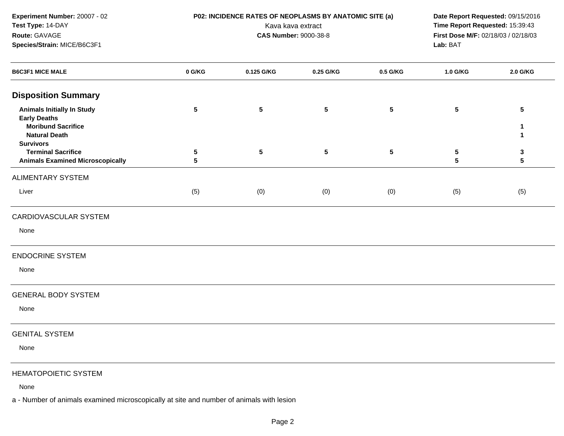**Experiment Number:** 20007 - 02**Test Type:** 14-DAY**Route:** GAVAGE**Species/Strain:** MICE/B6C3F1

 **P02: INCIDENCE RATES OF NEOPLASMS BY ANATOMIC SITE (a) Date Report Requested:** 09/15/2016 Kava kava extract **Time Report Requested:** 15:39:43<br>**CAS Number:** 9000-38-8 **Time Report Requested:** 15:39:43 **First Dose M/F:** 02/18/03 / 02/18/03<br>Lab: BAT **Lab:** BAT

| <b>B6C3F1 MICE MALE</b>                                                                                                           | 0 G/KG          | 0.125 G/KG      | 0.25 G/KG | 0.5 G/KG  | 1.0 G/KG                      | 2.0 G/KG |
|-----------------------------------------------------------------------------------------------------------------------------------|-----------------|-----------------|-----------|-----------|-------------------------------|----------|
| <b>Disposition Summary</b>                                                                                                        |                 |                 |           |           |                               |          |
| <b>Animals Initially In Study</b><br><b>Early Deaths</b><br><b>Moribund Sacrifice</b><br><b>Natural Death</b><br><b>Survivors</b> | $\sqrt{5}$      | $5\phantom{.0}$ | ${\bf 5}$ | ${\bf 5}$ | $5\phantom{.0}$               | 5<br>1   |
| <b>Terminal Sacrifice</b><br><b>Animals Examined Microscopically</b>                                                              | $\sqrt{5}$<br>5 | $5\phantom{.0}$ | ${\bf 5}$ | ${\bf 5}$ | $\sqrt{5}$<br>$5\phantom{.0}$ | 3<br>5   |
| <b>ALIMENTARY SYSTEM</b>                                                                                                          |                 |                 |           |           |                               |          |
| Liver                                                                                                                             | (5)             | (0)             | (0)       | (0)       | (5)                           | (5)      |
| CARDIOVASCULAR SYSTEM                                                                                                             |                 |                 |           |           |                               |          |
| None                                                                                                                              |                 |                 |           |           |                               |          |
| <b>ENDOCRINE SYSTEM</b>                                                                                                           |                 |                 |           |           |                               |          |
| None                                                                                                                              |                 |                 |           |           |                               |          |
| <b>GENERAL BODY SYSTEM</b>                                                                                                        |                 |                 |           |           |                               |          |
| None                                                                                                                              |                 |                 |           |           |                               |          |
| <b>GENITAL SYSTEM</b>                                                                                                             |                 |                 |           |           |                               |          |
| None                                                                                                                              |                 |                 |           |           |                               |          |
| <b>HEMATOPOIETIC SYSTEM</b>                                                                                                       |                 |                 |           |           |                               |          |
| None                                                                                                                              |                 |                 |           |           |                               |          |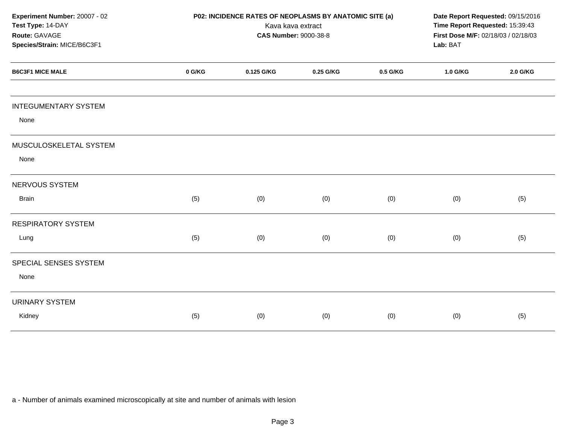| Experiment Number: 20007 - 02<br>Test Type: 14-DAY<br>Route: GAVAGE<br>Species/Strain: MICE/B6C3F1 |        | P02: INCIDENCE RATES OF NEOPLASMS BY ANATOMIC SITE (a)<br><b>CAS Number: 9000-38-8</b> | Kava kava extract |          | Date Report Requested: 09/15/2016<br>Time Report Requested: 15:39:43<br>First Dose M/F: 02/18/03 / 02/18/03<br>Lab: BAT |          |
|----------------------------------------------------------------------------------------------------|--------|----------------------------------------------------------------------------------------|-------------------|----------|-------------------------------------------------------------------------------------------------------------------------|----------|
| <b>B6C3F1 MICE MALE</b>                                                                            | 0 G/KG | 0.125 G/KG                                                                             | 0.25 G/KG         | 0.5 G/KG | 1.0 G/KG                                                                                                                | 2.0 G/KG |
| <b>INTEGUMENTARY SYSTEM</b>                                                                        |        |                                                                                        |                   |          |                                                                                                                         |          |
| None                                                                                               |        |                                                                                        |                   |          |                                                                                                                         |          |
| MUSCULOSKELETAL SYSTEM                                                                             |        |                                                                                        |                   |          |                                                                                                                         |          |
| None                                                                                               |        |                                                                                        |                   |          |                                                                                                                         |          |
| NERVOUS SYSTEM                                                                                     |        |                                                                                        |                   |          |                                                                                                                         |          |
| <b>Brain</b>                                                                                       | (5)    | (0)                                                                                    | (0)               | (0)      | (0)                                                                                                                     | (5)      |
| <b>RESPIRATORY SYSTEM</b>                                                                          |        |                                                                                        |                   |          |                                                                                                                         |          |
| Lung                                                                                               | (5)    | (0)                                                                                    | (0)               | (0)      | (0)                                                                                                                     | (5)      |
| SPECIAL SENSES SYSTEM                                                                              |        |                                                                                        |                   |          |                                                                                                                         |          |
| None                                                                                               |        |                                                                                        |                   |          |                                                                                                                         |          |
| <b>URINARY SYSTEM</b>                                                                              |        |                                                                                        |                   |          |                                                                                                                         |          |
| Kidney                                                                                             | (5)    | (0)                                                                                    | (0)               | (0)      | (0)                                                                                                                     | (5)      |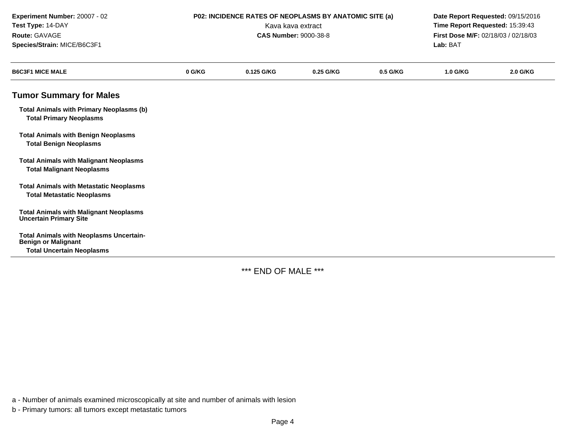| Experiment Number: 20007 - 02<br>Test Type: 14-DAY<br>Route: GAVAGE<br>Species/Strain: MICE/B6C3F1               |        | P02: INCIDENCE RATES OF NEOPLASMS BY ANATOMIC SITE (a)<br><b>CAS Number: 9000-38-8</b> | Kava kava extract |          | Date Report Requested: 09/15/2016<br>Time Report Requested: 15:39:43<br>First Dose M/F: 02/18/03 / 02/18/03<br>Lab: BAT<br>2.0 G/KG<br><b>1.0 G/KG</b> |  |
|------------------------------------------------------------------------------------------------------------------|--------|----------------------------------------------------------------------------------------|-------------------|----------|--------------------------------------------------------------------------------------------------------------------------------------------------------|--|
| <b>B6C3F1 MICE MALE</b>                                                                                          | 0 G/KG | 0.125 G/KG                                                                             | 0.25 G/KG         | 0.5 G/KG |                                                                                                                                                        |  |
| <b>Tumor Summary for Males</b>                                                                                   |        |                                                                                        |                   |          |                                                                                                                                                        |  |
| <b>Total Animals with Primary Neoplasms (b)</b><br><b>Total Primary Neoplasms</b>                                |        |                                                                                        |                   |          |                                                                                                                                                        |  |
| <b>Total Animals with Benign Neoplasms</b><br><b>Total Benign Neoplasms</b>                                      |        |                                                                                        |                   |          |                                                                                                                                                        |  |
| <b>Total Animals with Malignant Neoplasms</b><br><b>Total Malignant Neoplasms</b>                                |        |                                                                                        |                   |          |                                                                                                                                                        |  |
| <b>Total Animals with Metastatic Neoplasms</b><br><b>Total Metastatic Neoplasms</b>                              |        |                                                                                        |                   |          |                                                                                                                                                        |  |
| <b>Total Animals with Malignant Neoplasms</b><br><b>Uncertain Primary Site</b>                                   |        |                                                                                        |                   |          |                                                                                                                                                        |  |
| <b>Total Animals with Neoplasms Uncertain-</b><br><b>Benign or Malignant</b><br><b>Total Uncertain Neoplasms</b> |        |                                                                                        |                   |          |                                                                                                                                                        |  |

\*\*\* END OF MALE \*\*\*

a - Number of animals examined microscopically at site and number of animals with lesion

b - Primary tumors: all tumors except metastatic tumors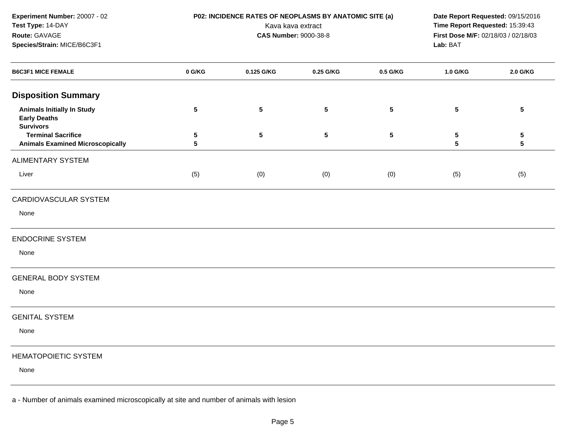**Experiment Number:** 20007 - 02**Test Type:** 14-DAY**Route:** GAVAGE**Species/Strain:** MICE/B6C3F1

 **P02: INCIDENCE RATES OF NEOPLASMS BY ANATOMIC SITE (a) Date Report Requested:** 09/15/2016 Kava kava extract **Time Report Requested:** 15:39:43<br>**CAS Number:** 9000-38-8 **Time Report Requested:** 15:39:43 **First Dose M/F:** 02/18/03 / 02/18/03<br>Lab: BAT **Lab:** BAT

| <b>B6C3F1 MICE FEMALE</b>                                                    | 0 G/KG         | 0.125 G/KG      | 0.25 G/KG      | 0.5 G/KG                | 1.0 G/KG                             | 2.0 G/KG                     |
|------------------------------------------------------------------------------|----------------|-----------------|----------------|-------------------------|--------------------------------------|------------------------------|
| <b>Disposition Summary</b>                                                   |                |                 |                |                         |                                      |                              |
| <b>Animals Initially In Study</b><br><b>Early Deaths</b><br><b>Survivors</b> | $5\phantom{a}$ | $5\phantom{.0}$ | $5\phantom{a}$ | $5\phantom{.0}$         | $5\phantom{.0}$                      | $5\phantom{.0}$              |
| <b>Terminal Sacrifice</b><br><b>Animals Examined Microscopically</b>         | ${\bf 5}$<br>5 | ${\bf 5}$       | $\sqrt{5}$     | $\overline{\mathbf{5}}$ | ${\bf 5}$<br>$\overline{\mathbf{5}}$ | ${\bf 5}$<br>$5\phantom{.0}$ |
| <b>ALIMENTARY SYSTEM</b>                                                     |                |                 |                |                         |                                      |                              |
| Liver                                                                        | (5)            | (0)             | (0)            | (0)                     | (5)                                  | (5)                          |
| CARDIOVASCULAR SYSTEM                                                        |                |                 |                |                         |                                      |                              |
| None                                                                         |                |                 |                |                         |                                      |                              |
| <b>ENDOCRINE SYSTEM</b>                                                      |                |                 |                |                         |                                      |                              |
| None                                                                         |                |                 |                |                         |                                      |                              |
| <b>GENERAL BODY SYSTEM</b>                                                   |                |                 |                |                         |                                      |                              |
| None                                                                         |                |                 |                |                         |                                      |                              |
| <b>GENITAL SYSTEM</b>                                                        |                |                 |                |                         |                                      |                              |
| None                                                                         |                |                 |                |                         |                                      |                              |
| <b>HEMATOPOIETIC SYSTEM</b>                                                  |                |                 |                |                         |                                      |                              |
| None                                                                         |                |                 |                |                         |                                      |                              |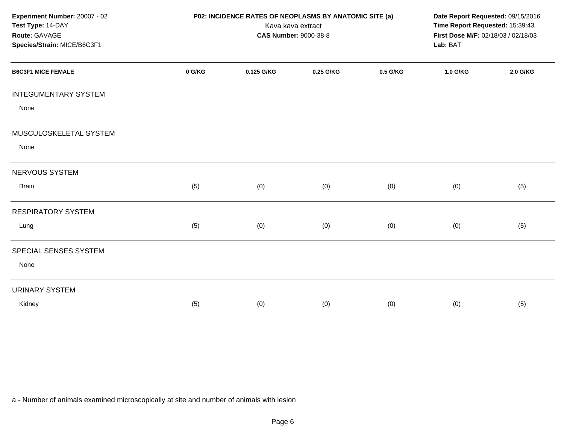| Experiment Number: 20007 - 02<br>Test Type: 14-DAY<br>Route: GAVAGE<br>Species/Strain: MICE/B6C3F1 | P02: INCIDENCE RATES OF NEOPLASMS BY ANATOMIC SITE (a)<br>Kava kava extract<br><b>CAS Number: 9000-38-8</b> |            |           |          | Date Report Requested: 09/15/2016<br>Time Report Requested: 15:39:43<br>First Dose M/F: 02/18/03 / 02/18/03<br>Lab: BAT |          |
|----------------------------------------------------------------------------------------------------|-------------------------------------------------------------------------------------------------------------|------------|-----------|----------|-------------------------------------------------------------------------------------------------------------------------|----------|
| <b>B6C3F1 MICE FEMALE</b>                                                                          | 0 G/KG                                                                                                      | 0.125 G/KG | 0.25 G/KG | 0.5 G/KG | 1.0 G/KG                                                                                                                | 2.0 G/KG |
| <b>INTEGUMENTARY SYSTEM</b><br>None                                                                |                                                                                                             |            |           |          |                                                                                                                         |          |
| MUSCULOSKELETAL SYSTEM<br>None                                                                     |                                                                                                             |            |           |          |                                                                                                                         |          |
| NERVOUS SYSTEM                                                                                     |                                                                                                             |            |           |          |                                                                                                                         |          |
| <b>Brain</b>                                                                                       | (5)                                                                                                         | (0)        | (0)       | (0)      | (0)                                                                                                                     | (5)      |
| <b>RESPIRATORY SYSTEM</b>                                                                          |                                                                                                             |            |           |          |                                                                                                                         |          |
| Lung                                                                                               | (5)                                                                                                         | (0)        | (0)       | (0)      | (0)                                                                                                                     | (5)      |
| SPECIAL SENSES SYSTEM<br>None                                                                      |                                                                                                             |            |           |          |                                                                                                                         |          |
| <b>URINARY SYSTEM</b><br>Kidney                                                                    | (5)                                                                                                         | (0)        | (0)       | (0)      | (0)                                                                                                                     | (5)      |